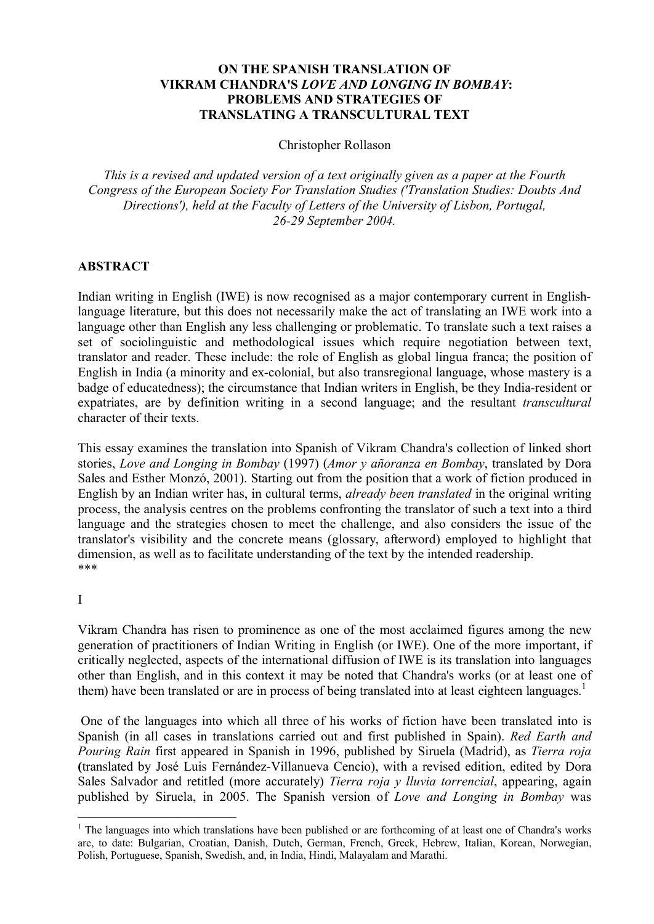# **ON THE SPANISH TRANSLATION OF VIKRAM CHANDRA'S** *LOVE AND LONGING IN BOMBAY***: PROBLEMS AND STRATEGIES OF TRANSLATING A TRANSCULTURAL TEXT**

Christopher Rollason

*This is a revised and updated version of a text originally given as a paper at the Fourth Congress of the European Society For Translation Studies ('Translation Studies: Doubts And Directions'), held at the Faculty of Letters of the University of Lisbon, Portugal, 26-29 September 2004.* 

## **ABSTRACT**

Indian writing in English (IWE) is now recognised as a major contemporary current in Englishlanguage literature, but this does not necessarily make the act of translating an IWE work into a language other than English any less challenging or problematic. To translate such a text raises a set of sociolinguistic and methodological issues which require negotiation between text, translator and reader. These include: the role of English as global lingua franca; the position of English in India (a minority and ex-colonial, but also transregional language, whose mastery is a badge of educatedness); the circumstance that Indian writers in English, be they India-resident or expatriates, are by definition writing in a second language; and the resultant *transcultural* character of their texts.

This essay examines the translation into Spanish of Vikram Chandra's collection of linked short stories, *Love and Longing in Bombay* (1997) (*Amor y añoranza en Bombay*, translated by Dora Sales and Esther Monzó, 2001). Starting out from the position that a work of fiction produced in English by an Indian writer has, in cultural terms, *already been translated* in the original writing process, the analysis centres on the problems confronting the translator of such a text into a third language and the strategies chosen to meet the challenge, and also considers the issue of the translator's visibility and the concrete means (glossary, afterword) employed to highlight that dimension, as well as to facilitate understanding of the text by the intended readership. \*\*\*

## I

Vikram Chandra has risen to prominence as one of the most acclaimed figures among the new generation of practitioners of Indian Writing in English (or IWE). One of the more important, if critically neglected, aspects of the international diffusion of IWE is its translation into languages other than English, and in this context it may be noted that Chandra's works (or at least one of them) have been translated or are in process of being translated into at least eighteen languages.<sup>1</sup>

One of the languages into which all three of his works of fiction have been translated into is Spanish (in all cases in translations carried out and first published in Spain). *Red Earth and Pouring Rain* first appeared in Spanish in 1996, published by Siruela (Madrid), as *Tierra roja* **(**translated by José Luis Fernández-Villanueva Cencio), with a revised edition, edited by Dora Sales Salvador and retitled (more accurately) *Tierra roja y lluvia torrencial*, appearing, again published by Siruela, in 2005. The Spanish version of *Love and Longing in Bombay* was

<sup>&</sup>lt;sup>1</sup> The languages into which translations have been published or are forthcoming of at least one of Chandra's works are, to date: Bulgarian, Croatian, Danish, Dutch, German, French, Greek, Hebrew, Italian, Korean, Norwegian, Polish, Portuguese, Spanish, Swedish, and, in India, Hindi, Malayalam and Marathi.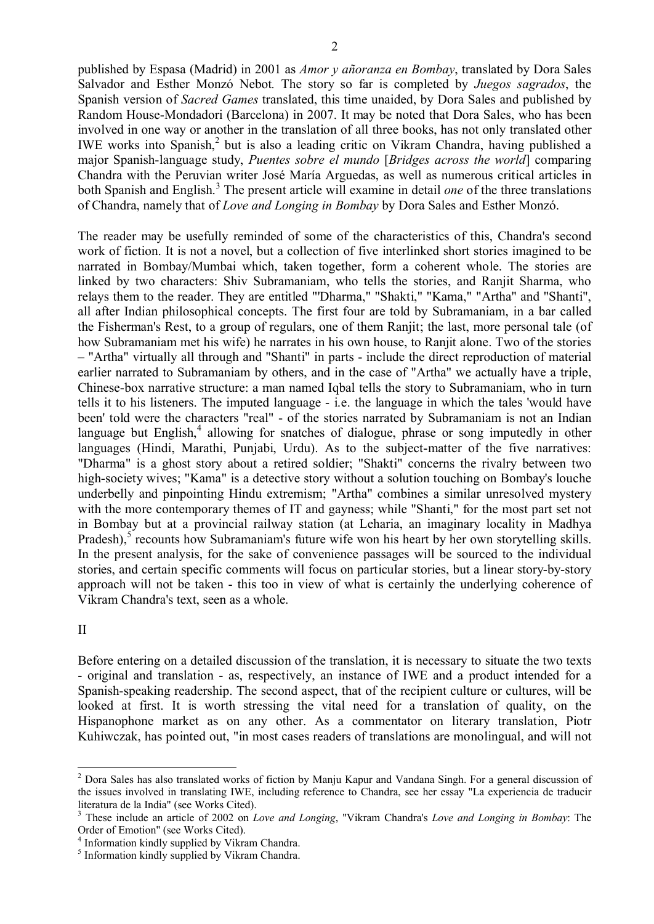published by Espasa (Madrid) in 2001 as *Amor y añoranza en Bombay*, translated by Dora Sales Salvador and Esther Monzó Nebot*.* The story so far is completed by *Juegos sagrados*, the Spanish version of *Sacred Games* translated, this time unaided, by Dora Sales and published by Random House-Mondadori (Barcelona) in 2007. It may be noted that Dora Sales, who has been involved in one way or another in the translation of all three books, has not only translated other IWE works into Spanish, 2 but is also a leading critic on Vikram Chandra, having published a major Spanish-language study, *Puentes sobre el mundo* [*Bridges across the world*] comparing Chandra with the Peruvian writer José María Arguedas, as well as numerous critical articles in both Spanish and English. 3 The present article will examine in detail *one* of the three translations of Chandra, namely that of *Love and Longing in Bombay* by Dora Sales and Esther Monzó.

The reader may be usefully reminded of some of the characteristics of this, Chandra's second work of fiction. It is not a novel, but a collection of five interlinked short stories imagined to be narrated in Bombay/Mumbai which, taken together, form a coherent whole. The stories are linked by two characters: Shiv Subramaniam, who tells the stories, and Ranjit Sharma, who relays them to the reader. They are entitled "'Dharma," "Shakti," "Kama," "Artha" and "Shanti", all after Indian philosophical concepts. The first four are told by Subramaniam, in a bar called the Fisherman's Rest, to a group of regulars, one of them Ranjit; the last, more personal tale (of how Subramaniam met his wife) he narrates in his own house, to Ranjit alone. Two of the stories – "Artha" virtually all through and "Shanti" in parts - include the direct reproduction of material earlier narrated to Subramaniam by others, and in the case of "Artha" we actually have a triple, Chinese-box narrative structure: a man named Iqbal tells the story to Subramaniam, who in turn tells it to his listeners. The imputed language - i.e. the language in which the tales 'would have been' told were the characters "real" - of the stories narrated by Subramaniam is not an Indian language but English,<sup>4</sup> allowing for snatches of dialogue, phrase or song imputedly in other languages (Hindi, Marathi, Punjabi, Urdu). As to the subject-matter of the five narratives: "Dharma" is a ghost story about a retired soldier; "Shakti" concerns the rivalry between two high-society wives; "Kama" is a detective story without a solution touching on Bombay's louche underbelly and pinpointing Hindu extremism; "Artha" combines a similar unresolved mystery with the more contemporary themes of IT and gayness; while "Shanti," for the most part set not in Bombay but at a provincial railway station (at Leharia, an imaginary locality in Madhya Pradesh),<sup>5</sup> recounts how Subramaniam's future wife won his heart by her own storytelling skills. In the present analysis, for the sake of convenience passages will be sourced to the individual stories, and certain specific comments will focus on particular stories, but a linear story-by-story approach will not be taken - this too in view of what is certainly the underlying coherence of Vikram Chandra's text, seen as a whole.

#### II

Before entering on a detailed discussion of the translation, it is necessary to situate the two texts - original and translation - as, respectively, an instance of IWE and a product intended for a Spanish-speaking readership. The second aspect, that of the recipient culture or cultures, will be looked at first. It is worth stressing the vital need for a translation of quality, on the Hispanophone market as on any other. As a commentator on literary translation, Piotr Kuhiwczak, has pointed out, "in most cases readers of translations are monolingual, and will not

<sup>2</sup> Dora Sales has also translated works of fiction by Manju Kapur and Vandana Singh. For a general discussion of the issues involved in translating IWE, including reference to Chandra, see her essay "La experiencia de traducir literatura de la India" (see Works Cited).

<sup>3</sup> These include an article of 2002 on *Love and Longing*, "Vikram Chandra's *Love and Longing in Bombay*: The Order of Emotion" (see Works Cited).

<sup>4</sup> Information kindly supplied by Vikram Chandra.

<sup>&</sup>lt;sup>5</sup> Information kindly supplied by Vikram Chandra.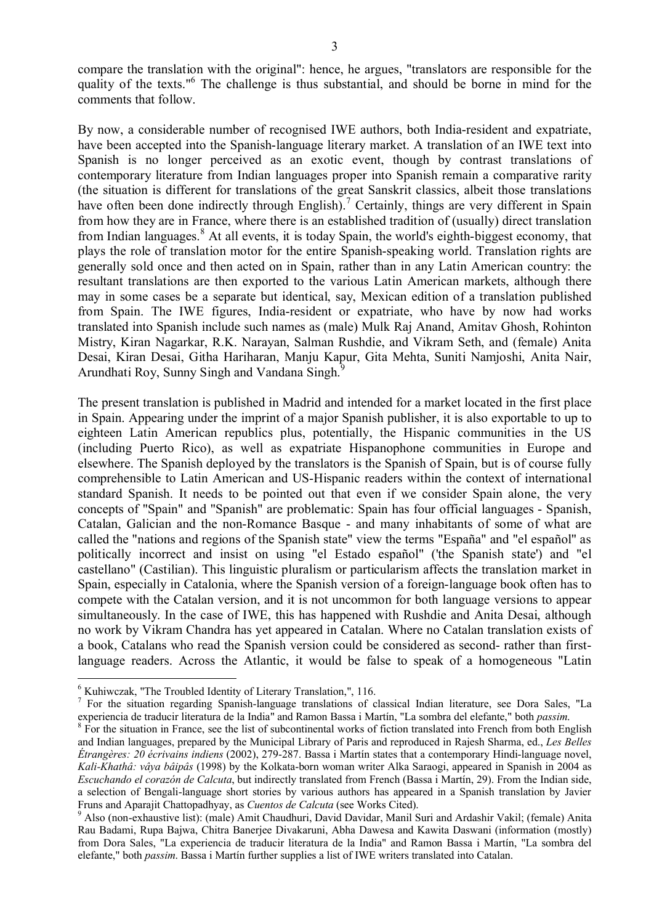compare the translation with the original": hence, he argues, "translators are responsible for the quality of the texts."<sup>6</sup> The challenge is thus substantial, and should be borne in mind for the comments that follow.

By now, a considerable number of recognised IWE authors, both India-resident and expatriate, have been accepted into the Spanish-language literary market. A translation of an IWE text into Spanish is no longer perceived as an exotic event, though by contrast translations of contemporary literature from Indian languages proper into Spanish remain a comparative rarity (the situation is different for translations of the great Sanskrit classics, albeit those translations have often been done indirectly through English).<sup>7</sup> Certainly, things are very different in Spain from how they are in France, where there is an established tradition of (usually) direct translation from Indian languages.<sup>8</sup> At all events, it is today Spain, the world's eighth-biggest economy, that plays the role of translation motor for the entire Spanish-speaking world. Translation rights are generally sold once and then acted on in Spain, rather than in any Latin American country: the resultant translations are then exported to the various Latin American markets, although there may in some cases be a separate but identical, say, Mexican edition of a translation published from Spain. The IWE figures, India-resident or expatriate, who have by now had works translated into Spanish include such names as (male) Mulk Raj Anand, Amitav Ghosh, Rohinton Mistry, Kiran Nagarkar, R.K. Narayan, Salman Rushdie, and Vikram Seth, and (female) Anita Desai, Kiran Desai, Githa Hariharan, Manju Kapur, Gita Mehta, Suniti Namjoshi, Anita Nair, Arundhati Roy, Sunny Singh and Vandana Singh.<sup>9</sup>

The present translation is published in Madrid and intended for a market located in the first place in Spain. Appearing under the imprint of a major Spanish publisher, it is also exportable to up to eighteen Latin American republics plus, potentially, the Hispanic communities in the US (including Puerto Rico), as well as expatriate Hispanophone communities in Europe and elsewhere. The Spanish deployed by the translators is the Spanish of Spain, but is of course fully comprehensible to Latin American and US-Hispanic readers within the context of international standard Spanish. It needs to be pointed out that even if we consider Spain alone, the very concepts of "Spain" and "Spanish" are problematic: Spain has four official languages - Spanish, Catalan, Galician and the non-Romance Basque - and many inhabitants of some of what are called the "nations and regions of the Spanish state" view the terms "España" and "el español" as politically incorrect and insist on using "el Estado español" ('the Spanish state') and "el castellano" (Castilian). This linguistic pluralism or particularism affects the translation market in Spain, especially in Catalonia, where the Spanish version of a foreign-language book often has to compete with the Catalan version, and it is not uncommon for both language versions to appear simultaneously. In the case of IWE, this has happened with Rushdie and Anita Desai, although no work by Vikram Chandra has yet appeared in Catalan. Where no Catalan translation exists of a book, Catalans who read the Spanish version could be considered as second- rather than firstlanguage readers. Across the Atlantic, it would be false to speak of a homogeneous "Latin

<sup>6</sup> Kuhiwczak, "The Troubled Identity of Literary Translation,", 116.

<sup>&</sup>lt;sup>7</sup> For the situation regarding Spanish-language translations of classical Indian literature, see Dora Sales, "La experiencia de traducir literatura de la India" and Ramon Bassa i Martín, "La sombra del elefante," both *passim*.

<sup>&</sup>lt;sup>8</sup> For the situation in France, see the list of subcontinental works of fiction translated into French from both English and Indian languages, prepared by the Municipal Library of Paris and reproduced in Rajesh Sharma, ed., *Les Belles Étrangères: 20 écrivains indiens* (2002), 279-287. Bassa i Martín states that a contemporary Hindi-language novel, *Kali-Khathâ: vâya bâipâs* (1998) by the Kolkata-born woman writer Alka Saraogi, appeared in Spanish in 2004 as *Escuchando el corazón de Calcuta*, but indirectly translated from French (Bassa i Martín, 29). From the Indian side, a selection of Bengali-language short stories by various authors has appeared in a Spanish translation by Javier Fruns and Aparajit Chattopadhyay, as *Cuentos de Calcuta* (see Works Cited).

<sup>&</sup>lt;sup>9</sup> Also (non-exhaustive list): (male) Amit Chaudhuri, David Davidar, Manil Suri and Ardashir Vakil; (female) Anita Rau Badami, Rupa Bajwa, Chitra Banerjee Divakaruni, Abha Dawesa and Kawita Daswani (information (mostly) from Dora Sales, "La experiencia de traducir literatura de la India" and Ramon Bassa i Martín, "La sombra del elefante," both *passim*. Bassa i Martín further supplies a list of IWE writers translated into Catalan.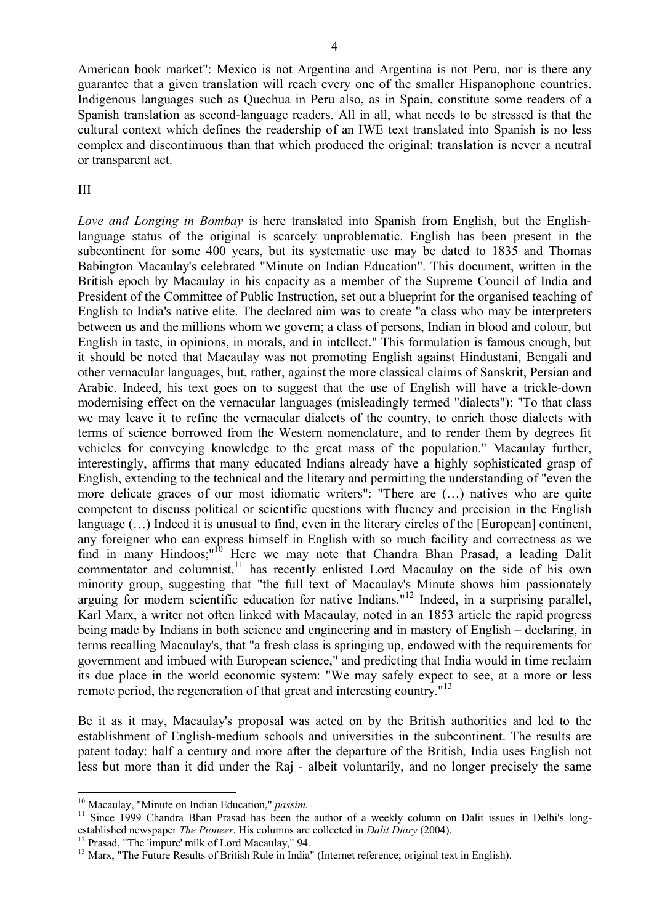4

American book market": Mexico is not Argentina and Argentina is not Peru, nor is there any guarantee that a given translation will reach every one of the smaller Hispanophone countries. Indigenous languages such as Quechua in Peru also, as in Spain, constitute some readers of a Spanish translation as second-language readers. All in all, what needs to be stressed is that the cultural context which defines the readership of an IWE text translated into Spanish is no less complex and discontinuous than that which produced the original: translation is never a neutral or transparent act.

## III

*Love and Longing in Bombay* is here translated into Spanish from English, but the Englishlanguage status of the original is scarcely unproblematic. English has been present in the subcontinent for some 400 years, but its systematic use may be dated to 1835 and Thomas Babington Macaulay's celebrated "Minute on Indian Education". This document, written in the British epoch by Macaulay in his capacity as a member of the Supreme Council of India and President of the Committee of Public Instruction, set out a blueprint for the organised teaching of English to India's native elite. The declared aim was to create "a class who may be interpreters between us and the millions whom we govern; a class of persons, Indian in blood and colour, but English in taste, in opinions, in morals, and in intellect." This formulation is famous enough, but it should be noted that Macaulay was not promoting English against Hindustani, Bengali and other vernacular languages, but, rather, against the more classical claims of Sanskrit, Persian and Arabic. Indeed, his text goes on to suggest that the use of English will have a trickle-down modernising effect on the vernacular languages (misleadingly termed "dialects"): "To that class we may leave it to refine the vernacular dialects of the country, to enrich those dialects with terms of science borrowed from the Western nomenclature, and to render them by degrees fit vehicles for conveying knowledge to the great mass of the population." Macaulay further, interestingly, affirms that many educated Indians already have a highly sophisticated grasp of English, extending to the technical and the literary and permitting the understanding of "even the more delicate graces of our most idiomatic writers": "There are (…) natives who are quite competent to discuss political or scientific questions with fluency and precision in the English language  $(\dots)$  Indeed it is unusual to find, even in the literary circles of the [European] continent, any foreigner who can express himself in English with so much facility and correctness as we find in many Hindoos;"<sup>10</sup> Here we may note that Chandra Bhan Prasad, a leading Dalit commentator and columnist,<sup>11</sup> has recently enlisted Lord Macaulay on the side of his own minority group, suggesting that "the full text of Macaulay's Minute shows him passionately arguing for modern scientific education for native Indians."<sup>12</sup> Indeed, in a surprising parallel, Karl Marx, a writer not often linked with Macaulay, noted in an 1853 article the rapid progress being made by Indians in both science and engineering and in mastery of English – declaring, in terms recalling Macaulay's, that "a fresh class is springing up, endowed with the requirements for government and imbued with European science," and predicting that India would in time reclaim its due place in the world economic system: "We may safely expect to see, at a more or less remote period, the regeneration of that great and interesting country."<sup>13</sup>

Be it as it may, Macaulay's proposal was acted on by the British authorities and led to the establishment of English-medium schools and universities in the subcontinent. The results are patent today: half a century and more after the departure of the British, India uses English not less but more than it did under the Raj - albeit voluntarily, and no longer precisely the same

<sup>10</sup> Macaulay, "Minute on Indian Education," *passim*.

<sup>&</sup>lt;sup>11</sup> Since 1999 Chandra Bhan Prasad has been the author of a weekly column on Dalit issues in Delhi's longestablished newspaper *The Pioneer*. His columns are collected in *Dalit Diary* (2004).

<sup>&</sup>lt;sup>12</sup> Prasad, "The 'impure' milk of Lord Macaulay," 94.

<sup>&</sup>lt;sup>13</sup> Marx, "The Future Results of British Rule in India" (Internet reference; original text in English).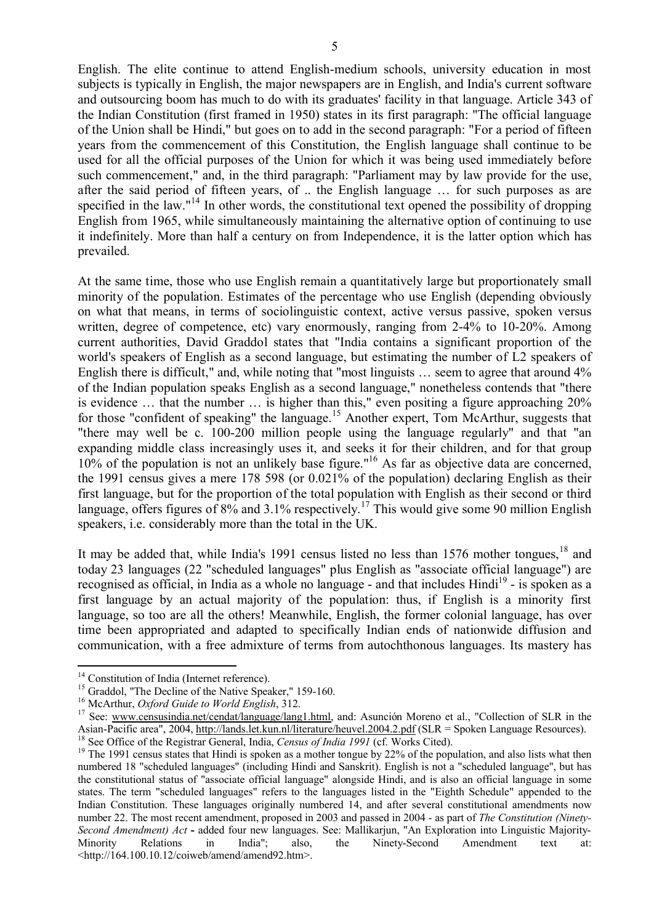English. The elite continue to attend English-medium schools, university education in most subjects is typically in English, the major newspapers are in English, and India's current software and outsourcing boom has much to do with its graduates' facility in that language. Article 343 of the Indian Constitution (first framed in 1950) states in its first paragraph: "The official language of the Union shall be Hindi," but goes on to add in the second paragraph: "For a period of fifteen years from the commencement of this Constitution, the English language shall continue to be used for all the official purposes of the Union for which it was being used immediately before such commencement," and, in the third paragraph: "Parliament may by law provide for the use, after the said period of fifteen years, of .. the English language … for such purposes as are specified in the law." $14$  In other words, the constitutional text opened the possibility of dropping English from 1965, while simultaneously maintaining the alternative option of continuing to use it indefinitely. More than half a century on from Independence, it is the latter option which has prevailed.

At the same time, those who use English remain a quantitatively large but proportionately small minority of the population. Estimates of the percentage who use English (depending obviously on what that means, in terms of sociolinguistic context, active versus passive, spoken versus written, degree of competence, etc) vary enormously, ranging from 2-4% to 10-20%. Among current authorities, David Graddol states that "India contains a significant proportion of the world's speakers of English as a second language, but estimating the number of L2 speakers of English there is difficult," and, while noting that "most linguists … seem to agree that around 4% of the Indian population speaks English as a second language," nonetheless contends that "there is evidence … that the number … is higher than this," even positing a figure approaching 20% for those "confident of speaking" the language.<sup>15</sup> Another expert, Tom McArthur, suggests that "there may well be c. 100-200 million people using the language regularly" and that "an expanding middle class increasingly uses it, and seeks it for their children, and for that group 10% of the population is not an unlikely base figure." <sup>16</sup> As far as objective data are concerned, the 1991 census gives a mere 178 598 (or 0.021% of the population) declaring English as their first language, but for the proportion of the total population with English as their second or third language, offers figures of 8% and 3.1% respectively.<sup>17</sup> This would give some 90 million English speakers, i.e. considerably more than the total in the UK.

It may be added that, while India's 1991 census listed no less than 1576 mother tongues,  $18$  and today 23 languages (22 "scheduled languages" plus English as "associate official language") are recognised as official, in India as a whole no language - and that includes Hindi<sup>19</sup> - is spoken as a first language by an actual majority of the population: thus, if English is a minority first language, so too are all the others! Meanwhile, English, the former colonial language, has over time been appropriated and adapted to specifically Indian ends of nationwide diffusion and communication, with a free admixture of terms from autochthonous languages. Its mastery has

<sup>&</sup>lt;sup>14</sup> Constitution of India (Internet reference).

<sup>&</sup>lt;sup>15</sup> Graddol, "The Decline of the Native Speaker," 159-160.

<sup>16</sup> McArthur, *Oxford Guide to World English*, 312.

<sup>&</sup>lt;sup>17</sup> See: www.censusindia.net/cendat/language/lang1.html, and: Asunción Moreno et al., "Collection of SLR in the Asian-Pacific area", 2004, http://lands.let.kun.nl/literature/heuvel.2004.2.pdf (SLR = Spoken Language Resources). <sup>18</sup> See Office of the Registrar General, India, *Census of India 1991* (cf. Works Cited).

<sup>&</sup>lt;sup>19</sup> The 1991 census states that Hindi is spoken as a mother tongue by 22% of the population, and also lists what then numbered 18 "scheduled languages" (including Hindi and Sanskrit). English is not a "scheduled language", but has the constitutional status of "associate official language" alongside Hindi, and is also an official language in some states. The term "scheduled languages" refers to the languages listed in the "Eighth Schedule" appended to the Indian Constitution. These languages originally numbered 14, and after several constitutional amendments now number 22. The most recent amendment, proposed in 2003 and passed in 2004 - as part of *The Constitution (Ninety-Second Amendment) Act* **-** added four new languages. See: Mallikarjun, "An Exploration into Linguistic Majority-Minority Relations in India"; also, the Ninety-Second Amendment text at: <http://164.100.10.12/coiweb/amend/amend92.htm>.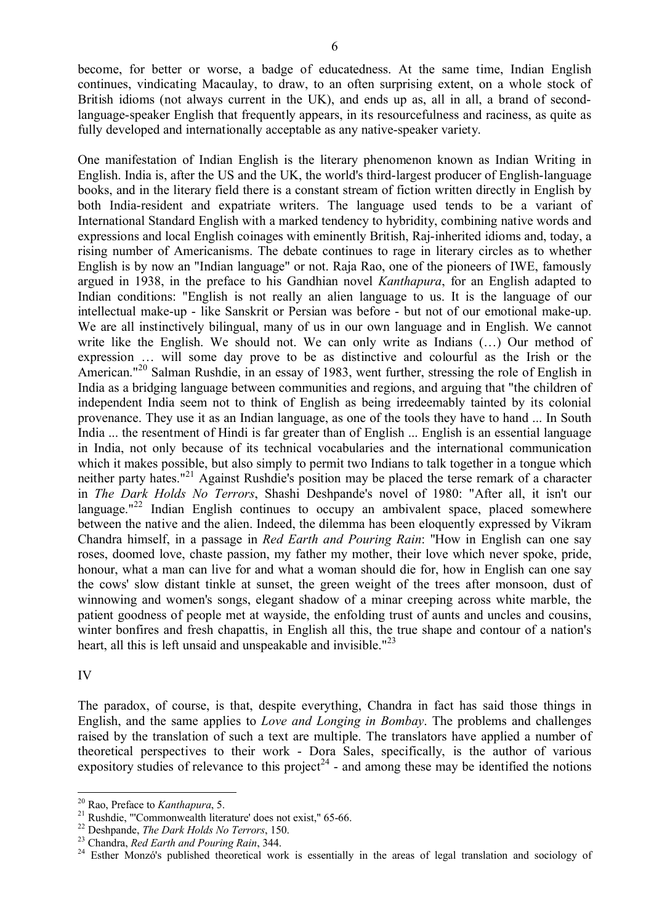become, for better or worse, a badge of educatedness. At the same time, Indian English continues, vindicating Macaulay, to draw, to an often surprising extent, on a whole stock of British idioms (not always current in the UK), and ends up as, all in all, a brand of secondlanguage-speaker English that frequently appears, in its resourcefulness and raciness, as quite as fully developed and internationally acceptable as any native-speaker variety.

One manifestation of Indian English is the literary phenomenon known as Indian Writing in English. India is, after the US and the UK, the world's third-largest producer of English-language books, and in the literary field there is a constant stream of fiction written directly in English by both India-resident and expatriate writers. The language used tends to be a variant of International Standard English with a marked tendency to hybridity, combining native words and expressions and local English coinages with eminently British, Raj-inherited idioms and, today, a rising number of Americanisms. The debate continues to rage in literary circles as to whether English is by now an "Indian language" or not. Raja Rao, one of the pioneers of IWE, famously argued in 1938, in the preface to his Gandhian novel *Kanthapura*, for an English adapted to Indian conditions: "English is not really an alien language to us. It is the language of our intellectual make-up - like Sanskrit or Persian was before - but not of our emotional make-up. We are all instinctively bilingual, many of us in our own language and in English. We cannot write like the English. We should not. We can only write as Indians (…) Our method of expression … will some day prove to be as distinctive and colourful as the Irish or the American."<sup>20</sup> Salman Rushdie, in an essay of 1983, went further, stressing the role of English in India as a bridging language between communities and regions, and arguing that "the children of independent India seem not to think of English as being irredeemably tainted by its colonial provenance. They use it as an Indian language, as one of the tools they have to hand ... In South India ... the resentment of Hindi is far greater than of English ... English is an essential language in India, not only because of its technical vocabularies and the international communication which it makes possible, but also simply to permit two Indians to talk together in a tongue which neither party hates."<sup>21</sup> Against Rushdie's position may be placed the terse remark of a character in *The Dark Holds No Terrors*, Shashi Deshpande's novel of 1980: "After all, it isn't our language." $^{22}$  Indian English continues to occupy an ambivalent space, placed somewhere between the native and the alien. Indeed, the dilemma has been eloquently expressed by Vikram Chandra himself, in a passage in *Red Earth and Pouring Rain*: ''How in English can one say roses, doomed love, chaste passion, my father my mother, their love which never spoke, pride, honour, what a man can live for and what a woman should die for, how in English can one say the cows' slow distant tinkle at sunset, the green weight of the trees after monsoon, dust of winnowing and women's songs, elegant shadow of a minar creeping across white marble, the patient goodness of people met at wayside, the enfolding trust of aunts and uncles and cousins, winter bonfires and fresh chapattis, in English all this, the true shape and contour of a nation's heart, all this is left unsaid and unspeakable and invisible."<sup>23</sup>

IV

The paradox, of course, is that, despite everything, Chandra in fact has said those things in English, and the same applies to *Love and Longing in Bombay*. The problems and challenges raised by the translation of such a text are multiple. The translators have applied a number of theoretical perspectives to their work - Dora Sales, specifically, is the author of various expository studies of relevance to this project<sup>24</sup> - and among these may be identified the notions

<sup>20</sup> Rao, Preface to *Kanthapura*, 5.

<sup>&</sup>lt;sup>21</sup> Rushdie, "'Commonwealth literature' does not exist," 65-66.

<sup>22</sup> Deshpande, *The Dark Holds No Terrors*, 150.

<sup>23</sup> Chandra, *Red Earth and Pouring Rain*, 344.

<sup>&</sup>lt;sup>24</sup> Esther Monzó's published theoretical work is essentially in the areas of legal translation and sociology of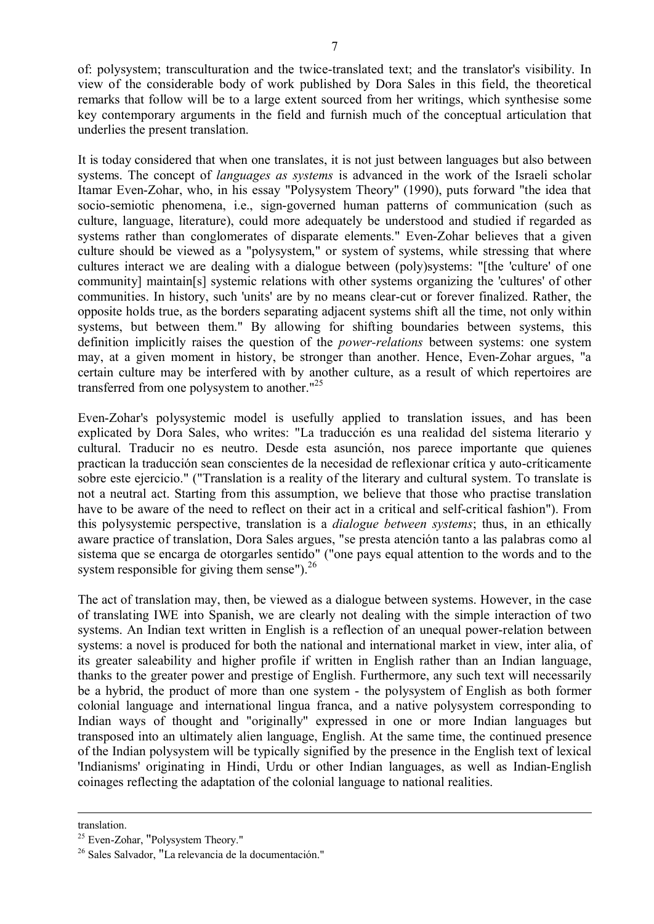of: polysystem; transculturation and the twice-translated text; and the translator's visibility. In view of the considerable body of work published by Dora Sales in this field, the theoretical remarks that follow will be to a large extent sourced from her writings, which synthesise some key contemporary arguments in the field and furnish much of the conceptual articulation that underlies the present translation.

It is today considered that when one translates, it is not just between languages but also between systems. The concept of *languages as systems* is advanced in the work of the Israeli scholar Itamar Even-Zohar, who, in his essay "Polysystem Theory" (1990), puts forward "the idea that socio-semiotic phenomena, i.e., sign-governed human patterns of communication (such as culture, language, literature), could more adequately be understood and studied if regarded as systems rather than conglomerates of disparate elements." Even-Zohar believes that a given culture should be viewed as a "polysystem," or system of systems, while stressing that where cultures interact we are dealing with a dialogue between (poly)systems: "[the 'culture' of one community] maintain[s] systemic relations with other systems organizing the 'cultures' of other communities. In history, such 'units' are by no means clear-cut or forever finalized. Rather, the opposite holds true, as the borders separating adjacent systems shift all the time, not only within systems, but between them." By allowing for shifting boundaries between systems, this definition implicitly raises the question of the *power-relations* between systems: one system may, at a given moment in history, be stronger than another. Hence, Even-Zohar argues, "a certain culture may be interfered with by another culture, as a result of which repertoires are transferred from one polysystem to another."<sup>25</sup>

Even-Zohar's polysystemic model is usefully applied to translation issues, and has been explicated by Dora Sales, who writes: "La traducción es una realidad del sistema literario y cultural. Traducir no es neutro. Desde esta asunción, nos parece importante que quienes practican la traducción sean conscientes de la necesidad de reflexionar crítica y auto-críticamente sobre este ejercicio." ("Translation is a reality of the literary and cultural system. To translate is not a neutral act. Starting from this assumption, we believe that those who practise translation have to be aware of the need to reflect on their act in a critical and self-critical fashion"). From this polysystemic perspective, translation is a *dialogue between systems*; thus, in an ethically aware practice of translation, Dora Sales argues, "se presta atención tanto a las palabras como al sistema que se encarga de otorgarles sentido" ("one pays equal attention to the words and to the system responsible for giving them sense"). $^{26}$ 

The act of translation may, then, be viewed as a dialogue between systems. However, in the case of translating IWE into Spanish, we are clearly not dealing with the simple interaction of two systems. An Indian text written in English is a reflection of an unequal power-relation between systems: a novel is produced for both the national and international market in view, inter alia, of its greater saleability and higher profile if written in English rather than an Indian language, thanks to the greater power and prestige of English. Furthermore, any such text will necessarily be a hybrid, the product of more than one system - the polysystem of English as both former colonial language and international lingua franca, and a native polysystem corresponding to Indian ways of thought and "originally" expressed in one or more Indian languages but transposed into an ultimately alien language, English. At the same time, the continued presence of the Indian polysystem will be typically signified by the presence in the English text of lexical 'Indianisms' originating in Hindi, Urdu or other Indian languages, as well as Indian-English coinages reflecting the adaptation of the colonial language to national realities.

translation.

<sup>25</sup> Even-Zohar, "Polysystem Theory."

<sup>26</sup> Sales Salvador, "La relevancia de la documentación."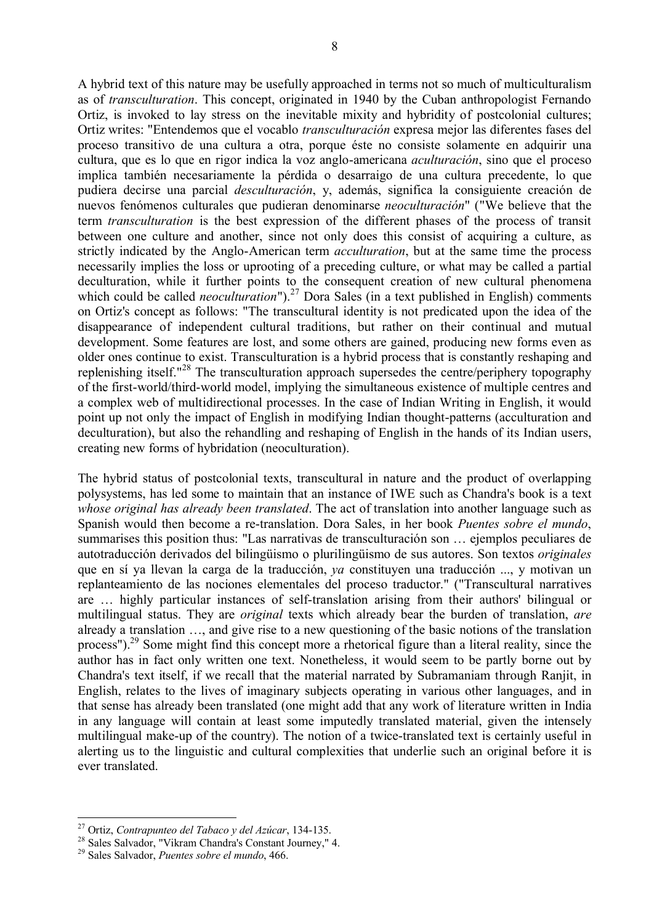A hybrid text of this nature may be usefully approached in terms not so much of multiculturalism as of *transculturation*. This concept, originated in 1940 by the Cuban anthropologist Fernando Ortiz, is invoked to lay stress on the inevitable mixity and hybridity of postcolonial cultures; Ortiz writes: "Entendemos que el vocablo *transculturación* expresa mejor las diferentes fases del proceso transitivo de una cultura a otra, porque éste no consiste solamente en adquirir una cultura, que es lo que en rigor indica la voz anglo-americana *aculturación*, sino que el proceso implica también necesariamente la pérdida o desarraigo de una cultura precedente, lo que pudiera decirse una parcial *desculturación*, y, además, significa la consiguiente creación de nuevos fenómenos culturales que pudieran denominarse *neoculturación*" ("We believe that the term *transculturation* is the best expression of the different phases of the process of transit between one culture and another, since not only does this consist of acquiring a culture, as strictly indicated by the Anglo-American term *acculturation*, but at the same time the process necessarily implies the loss or uprooting of a preceding culture, or what may be called a partial deculturation, while it further points to the consequent creation of new cultural phenomena which could be called *neoculturation*"). <sup>27</sup> Dora Sales (in a text published in English) comments on Ortiz's concept as follows: "The transcultural identity is not predicated upon the idea of the disappearance of independent cultural traditions, but rather on their continual and mutual development. Some features are lost, and some others are gained, producing new forms even as older ones continue to exist. Transculturation is a hybrid process that is constantly reshaping and replenishing itself."<sup>28</sup> The transculturation approach supersedes the centre/periphery topography of the first-world/third-world model, implying the simultaneous existence of multiple centres and a complex web of multidirectional processes. In the case of Indian Writing in English, it would point up not only the impact of English in modifying Indian thought-patterns (acculturation and deculturation), but also the rehandling and reshaping of English in the hands of its Indian users, creating new forms of hybridation (neoculturation).

The hybrid status of postcolonial texts, transcultural in nature and the product of overlapping polysystems, has led some to maintain that an instance of IWE such as Chandra's book is a text *whose original has already been translated*. The act of translation into another language such as Spanish would then become a re-translation. Dora Sales, in her book *Puentes sobre el mundo*, summarises this position thus: "Las narrativas de transculturación son … ejemplos peculiares de autotraducción derivados del bilingüismo o plurilingüismo de sus autores. Son textos *originales* que en sí ya llevan la carga de la traducción, *ya* constituyen una traducción ..., y motivan un replanteamiento de las nociones elementales del proceso traductor." ("Transcultural narratives are … highly particular instances of self-translation arising from their authors' bilingual or multilingual status. They are *original* texts which already bear the burden of translation, *are*  already a translation …, and give rise to a new questioning of the basic notions of the translation process").<sup>29</sup> Some might find this concept more a rhetorical figure than a literal reality, since the author has in fact only written one text. Nonetheless, it would seem to be partly borne out by Chandra's text itself, if we recall that the material narrated by Subramaniam through Ranjit, in English, relates to the lives of imaginary subjects operating in various other languages, and in that sense has already been translated (one might add that any work of literature written in India in any language will contain at least some imputedly translated material, given the intensely multilingual make-up of the country). The notion of a twice-translated text is certainly useful in alerting us to the linguistic and cultural complexities that underlie such an original before it is ever translated.

<sup>27</sup> Ortiz, *Contrapunteo del Tabaco y del Azúcar*, 134-135.

<sup>28</sup> Sales Salvador, "Vikram Chandra's Constant Journey," 4.

<sup>29</sup> Sales Salvador, *Puentes sobre el mundo*, 466.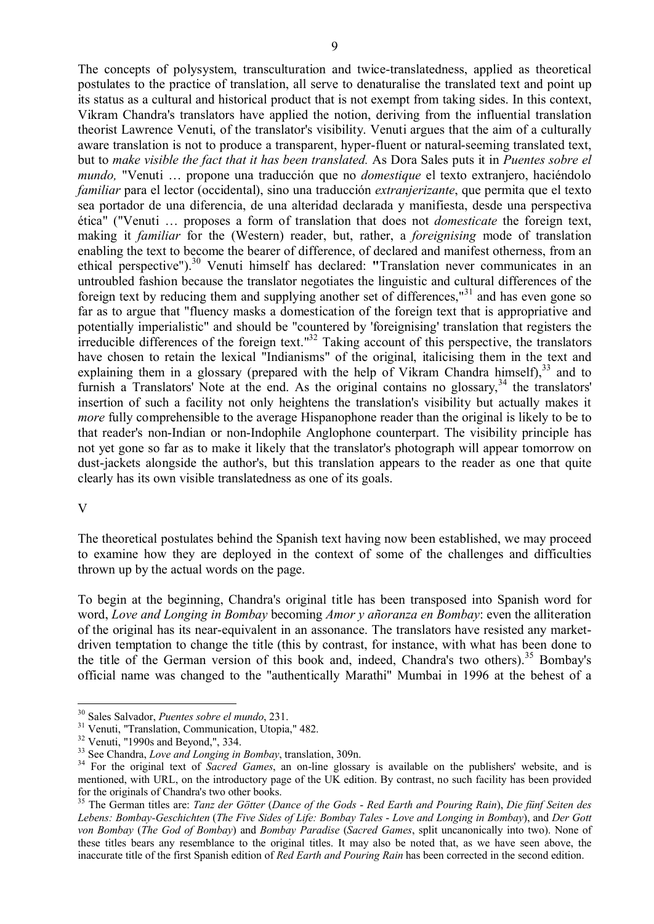The concepts of polysystem, transculturation and twice-translatedness, applied as theoretical postulates to the practice of translation, all serve to denaturalise the translated text and point up its status as a cultural and historical product that is not exempt from taking sides. In this context, Vikram Chandra's translators have applied the notion, deriving from the influential translation theorist Lawrence Venuti, of the translator's visibility. Venuti argues that the aim of a culturally aware translation is not to produce a transparent, hyper-fluent or natural-seeming translated text, but to *make visible the fact that it has been translated.* As Dora Sales puts it in *Puentes sobre el mundo,* "Venuti … propone una traducción que no *domestique* el texto extranjero, haciéndolo *familiar* para el lector (occidental), sino una traducción *extranjerizante*, que permita que el texto sea portador de una diferencia, de una alteridad declarada y manifiesta, desde una perspectiva ética" ("Venuti … proposes a form of translation that does not *domesticate* the foreign text, making it *familiar* for the (Western) reader, but, rather, a *foreignising* mode of translation enabling the text to become the bearer of difference, of declared and manifest otherness, from an ethical perspective"). <sup>30</sup> Venuti himself has declared: **"**Translation never communicates in an untroubled fashion because the translator negotiates the linguistic and cultural differences of the foreign text by reducing them and supplying another set of differences,"<sup>31</sup> and has even gone so far as to argue that "fluency masks a domestication of the foreign text that is appropriative and potentially imperialistic" and should be "countered by 'foreignising' translation that registers the irreducible differences of the foreign text." $^{32}$  Taking account of this perspective, the translators have chosen to retain the lexical "Indianisms" of the original, italicising them in the text and explaining them in a glossary (prepared with the help of Vikram Chandra himself),<sup>33</sup> and to furnish a Translators' Note at the end. As the original contains no glossary,<sup>34</sup> the translators' insertion of such a facility not only heightens the translation's visibility but actually makes it *more* fully comprehensible to the average Hispanophone reader than the original is likely to be to that reader's non-Indian or non-Indophile Anglophone counterpart. The visibility principle has not yet gone so far as to make it likely that the translator's photograph will appear tomorrow on dust-jackets alongside the author's, but this translation appears to the reader as one that quite clearly has its own visible translatedness as one of its goals.

#### V

The theoretical postulates behind the Spanish text having now been established, we may proceed to examine how they are deployed in the context of some of the challenges and difficulties thrown up by the actual words on the page.

To begin at the beginning, Chandra's original title has been transposed into Spanish word for word, *Love and Longing in Bombay* becoming *Amor y añoranza en Bombay*: even the alliteration of the original has its near-equivalent in an assonance. The translators have resisted any marketdriven temptation to change the title (this by contrast, for instance, with what has been done to the title of the German version of this book and, indeed, Chandra's two others). <sup>35</sup> Bombay's official name was changed to the "authentically Marathi" Mumbai in 1996 at the behest of a

<sup>30</sup> Sales Salvador, *Puentes sobre el mundo*, 231.

<sup>31</sup> Venuti, "Translation, Communication, Utopia," 482.

<sup>32</sup> Venuti, "1990s and Beyond,", 334.

<sup>33</sup> See Chandra, *Love and Longing in Bombay*, translation, 309n.

<sup>&</sup>lt;sup>34</sup> For the original text of *Sacred Games*, an on-line glossary is available on the publishers' website, and is mentioned, with URL, on the introductory page of the UK edition. By contrast, no such facility has been provided for the originals of Chandra's two other books.

<sup>35</sup> The German titles are: *Tanz der Götter* (*Dance of the Gods* - *Red Earth and Pouring Rain*), *Die fünf Seiten des Lebens: Bombay-Geschichten* (*The Five Sides of Life: Bombay Tales* - *Love and Longing in Bombay*), and *Der Gott von Bombay* (*The God of Bombay*) and *Bombay Paradise* (*Sacred Games*, split uncanonically into two). None of these titles bears any resemblance to the original titles. It may also be noted that, as we have seen above, the inaccurate title of the first Spanish edition of *Red Earth and Pouring Rain* has been corrected in the second edition.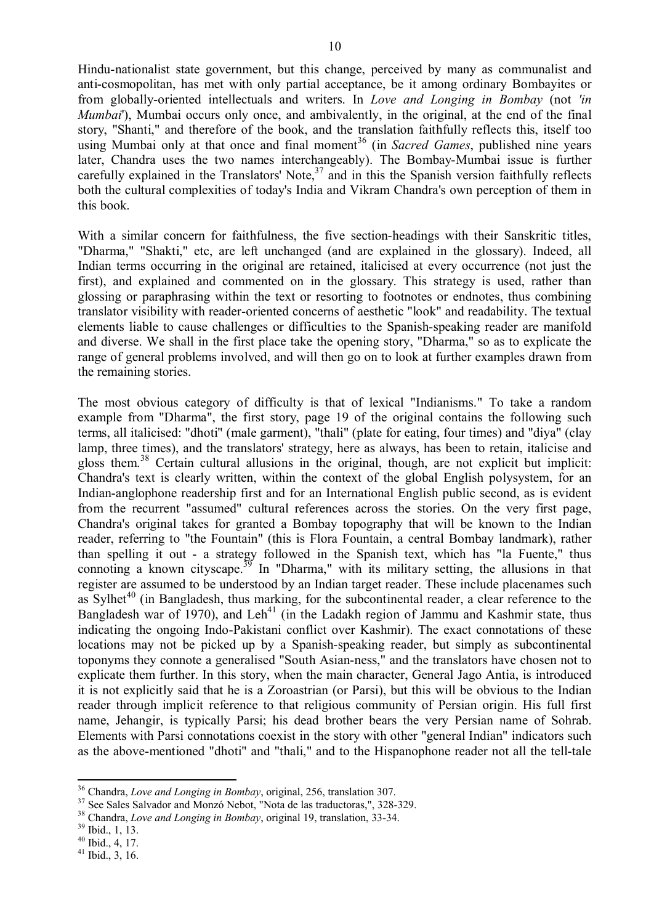Hindu-nationalist state government, but this change, perceived by many as communalist and anti-cosmopolitan, has met with only partial acceptance, be it among ordinary Bombayites or from globally-oriented intellectuals and writers. In *Love and Longing in Bombay* (not *'in Mumbai*'). Mumbai occurs only once, and ambivalently, in the original, at the end of the final story, "Shanti," and therefore of the book, and the translation faithfully reflects this, itself too using Mumbai only at that once and final moment<sup>36</sup> (in *Sacred Games*, published nine years later, Chandra uses the two names interchangeably). The Bombay-Mumbai issue is further carefully explained in the Translators' Note,<sup>37</sup> and in this the Spanish version faithfully reflects both the cultural complexities of today's India and Vikram Chandra's own perception of them in this book.

With a similar concern for faithfulness, the five section-headings with their Sanskritic titles, "Dharma," "Shakti," etc, are left unchanged (and are explained in the glossary). Indeed, all Indian terms occurring in the original are retained, italicised at every occurrence (not just the first), and explained and commented on in the glossary. This strategy is used, rather than glossing or paraphrasing within the text or resorting to footnotes or endnotes, thus combining translator visibility with reader-oriented concerns of aesthetic "look" and readability. The textual elements liable to cause challenges or difficulties to the Spanish-speaking reader are manifold and diverse. We shall in the first place take the opening story, "Dharma," so as to explicate the range of general problems involved, and will then go on to look at further examples drawn from the remaining stories.

The most obvious category of difficulty is that of lexical "Indianisms." To take a random example from "Dharma", the first story, page 19 of the original contains the following such terms, all italicised: "dhoti" (male garment), "thali" (plate for eating, four times) and "diya" (clay lamp, three times), and the translators' strategy, here as always, has been to retain, italicise and gloss them. <sup>38</sup> Certain cultural allusions in the original, though, are not explicit but implicit: Chandra's text is clearly written, within the context of the global English polysystem, for an Indian-anglophone readership first and for an International English public second, as is evident from the recurrent "assumed" cultural references across the stories. On the very first page, Chandra's original takes for granted a Bombay topography that will be known to the Indian reader, referring to "the Fountain" (this is Flora Fountain, a central Bombay landmark), rather than spelling it out - a strategy followed in the Spanish text, which has "la Fuente," thus connoting a known cityscape.<sup>39</sup> In "Dharma," with its military setting, the allusions in that register are assumed to be understood by an Indian target reader. These include placenames such as Sylhet<sup>40</sup> (in Bangladesh, thus marking, for the subcontinental reader, a clear reference to the Bangladesh war of 1970), and Leh<sup>41</sup> (in the Ladakh region of Jammu and Kashmir state, thus indicating the ongoing Indo-Pakistani conflict over Kashmir). The exact connotations of these locations may not be picked up by a Spanish-speaking reader, but simply as subcontinental toponyms they connote a generalised "South Asian-ness," and the translators have chosen not to explicate them further. In this story, when the main character, General Jago Antia, is introduced it is not explicitly said that he is a Zoroastrian (or Parsi), but this will be obvious to the Indian reader through implicit reference to that religious community of Persian origin. His full first name, Jehangir, is typically Parsi; his dead brother bears the very Persian name of Sohrab. Elements with Parsi connotations coexist in the story with other "general Indian" indicators such as the above-mentioned "dhoti" and "thali," and to the Hispanophone reader not all the tell-tale

<sup>36</sup> Chandra, *Love and Longing in Bombay*, original, 256, translation 307.

<sup>37</sup> See Sales Salvador and Monzó Nebot, "Nota de las traductoras,", 328-329.

<sup>38</sup> Chandra, *Love and Longing in Bombay*, original 19, translation, 33-34.

<sup>39</sup> Ibid., 1, 13.

 $40$  Ibid., 4, 17.

 $41$  Ibid., 3, 16.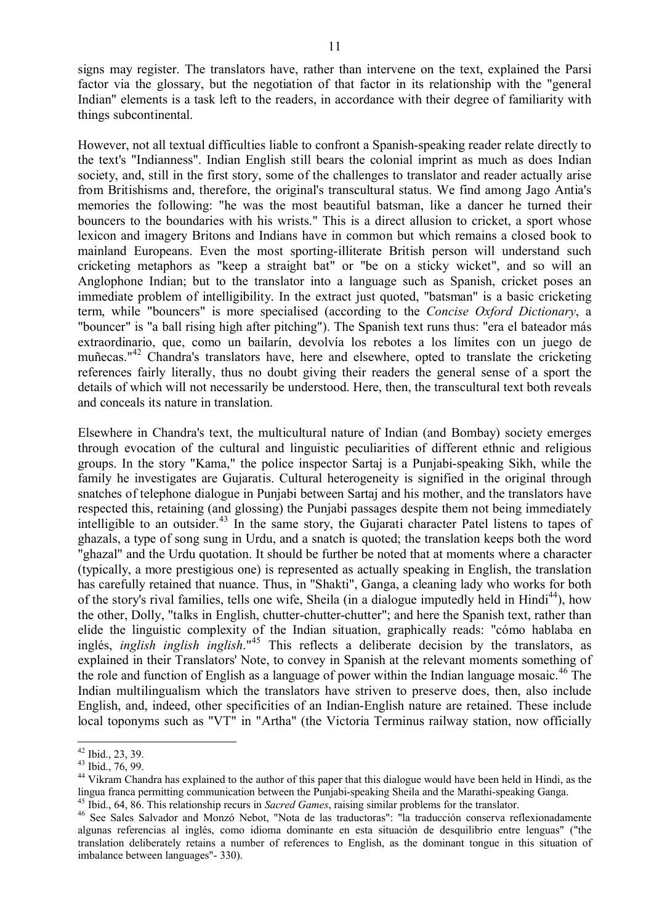signs may register. The translators have, rather than intervene on the text, explained the Parsi factor via the glossary, but the negotiation of that factor in its relationship with the "general Indian" elements is a task left to the readers, in accordance with their degree of familiarity with things subcontinental.

However, not all textual difficulties liable to confront a Spanish-speaking reader relate directly to the text's "Indianness". Indian English still bears the colonial imprint as much as does Indian society, and, still in the first story, some of the challenges to translator and reader actually arise from Britishisms and, therefore, the original's transcultural status. We find among Jago Antia's memories the following: "he was the most beautiful batsman, like a dancer he turned their bouncers to the boundaries with his wrists." This is a direct allusion to cricket, a sport whose lexicon and imagery Britons and Indians have in common but which remains a closed book to mainland Europeans. Even the most sporting-illiterate British person will understand such cricketing metaphors as "keep a straight bat" or "be on a sticky wicket", and so will an Anglophone Indian; but to the translator into a language such as Spanish, cricket poses an immediate problem of intelligibility. In the extract just quoted, "batsman" is a basic cricketing term, while "bouncers" is more specialised (according to the *Concise Oxford Dictionary*, a "bouncer" is "a ball rising high after pitching"). The Spanish text runs thus: "era el bateador más extraordinario, que, como un bailarín, devolvía los rebotes a los límites con un juego de muñecas."<sup>42</sup> Chandra's translators have, here and elsewhere, opted to translate the cricketing references fairly literally, thus no doubt giving their readers the general sense of a sport the details of which will not necessarily be understood. Here, then, the transcultural text both reveals and conceals its nature in translation.

Elsewhere in Chandra's text, the multicultural nature of Indian (and Bombay) society emerges through evocation of the cultural and linguistic peculiarities of different ethnic and religious groups. In the story "Kama," the police inspector Sartaj is a Punjabi-speaking Sikh, while the family he investigates are Gujaratis. Cultural heterogeneity is signified in the original through snatches of telephone dialogue in Punjabi between Sartaj and his mother, and the translators have respected this, retaining (and glossing) the Punjabi passages despite them not being immediately intelligible to an outsider. <sup>43</sup> In the same story, the Gujarati character Patel listens to tapes of ghazals, a type of song sung in Urdu, and a snatch is quoted; the translation keeps both the word "ghazal" and the Urdu quotation. It should be further be noted that at moments where a character (typically, a more prestigious one) is represented as actually speaking in English, the translation has carefully retained that nuance. Thus, in "Shakti", Ganga, a cleaning lady who works for both of the story's rival families, tells one wife, Sheila (in a dialogue imputedly held in Hindi<sup>44</sup>), how the other, Dolly, "talks in English, chutter-chutter-chutter"; and here the Spanish text, rather than elide the linguistic complexity of the Indian situation, graphically reads: "cómo hablaba en inglés, *inglish inglish inglish*."<sup>45</sup> This reflects a deliberate decision by the translators, as explained in their Translators' Note, to convey in Spanish at the relevant moments something of the role and function of English as a language of power within the Indian language mosaic. <sup>46</sup> The Indian multilingualism which the translators have striven to preserve does, then, also include English, and, indeed, other specificities of an Indian-English nature are retained. These include local toponyms such as "VT" in "Artha" (the Victoria Terminus railway station, now officially

<sup>42</sup> Ibid., 23, 39.

 $43$  Ibid., 76, 99.

<sup>&</sup>lt;sup>44</sup> Vikram Chandra has explained to the author of this paper that this dialogue would have been held in Hindi, as the lingua franca permitting communication between the Punjabi-speaking Sheila and the Marathi-speaking Ganga.

<sup>45</sup> Ibid., 64, 86. This relationship recurs in *Sacred Games*, raising similar problems for the translator.

<sup>46</sup> See Sales Salvador and Monzó Nebot, "Nota de las traductoras": "la traducción conserva reflexionadamente algunas referencias al inglés, como idioma dominante en esta situación de desquilibrio entre lenguas" ("the translation deliberately retains a number of references to English, as the dominant tongue in this situation of imbalance between languages"- 330).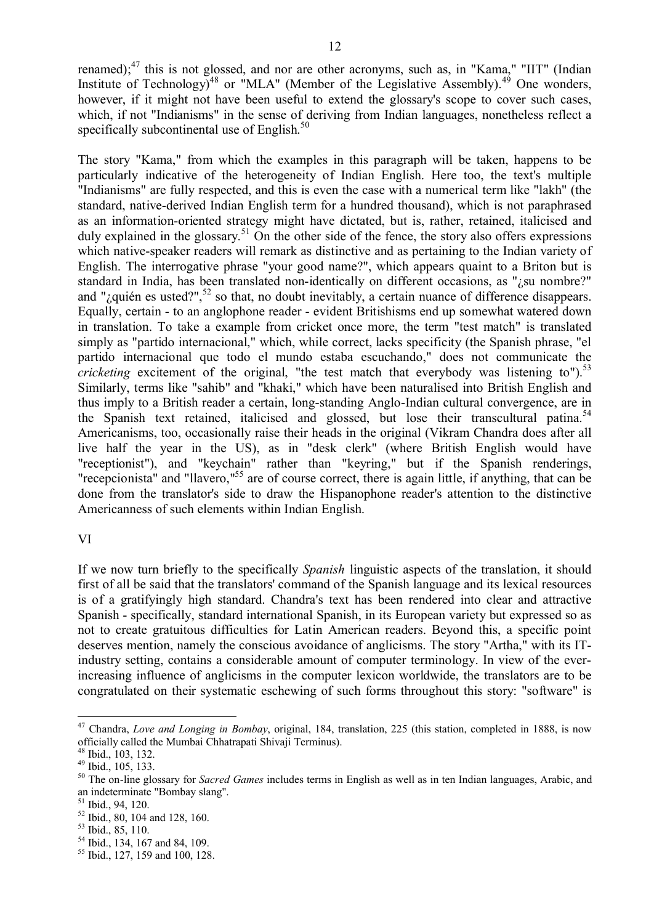renamed);<sup>47</sup> this is not glossed, and nor are other acronyms, such as, in "Kama," "IIT" (Indian Institute of Technology)<sup>48</sup> or "MLA" (Member of the Legislative Assembly).<sup>49</sup> One wonders, however, if it might not have been useful to extend the glossary's scope to cover such cases. which, if not "Indianisms" in the sense of deriving from Indian languages, nonetheless reflect a specifically subcontinental use of English.<sup>50</sup>

The story "Kama," from which the examples in this paragraph will be taken, happens to be particularly indicative of the heterogeneity of Indian English. Here too, the text's multiple "Indianisms" are fully respected, and this is even the case with a numerical term like "lakh" (the standard, native-derived Indian English term for a hundred thousand), which is not paraphrased as an information-oriented strategy might have dictated, but is, rather, retained, italicised and duly explained in the glossary.<sup>51</sup> On the other side of the fence, the story also offers expressions which native-speaker readers will remark as distinctive and as pertaining to the Indian variety of English. The interrogative phrase "your good name?", which appears quaint to a Briton but is standard in India, has been translated non-identically on different occasions, as "*i* su nombre?" and "¿quién es usted?", $52$  so that, no doubt inevitably, a certain nuance of difference disappears. Equally, certain - to an anglophone reader - evident Britishisms end up somewhat watered down in translation. To take a example from cricket once more, the term "test match" is translated simply as "partido internacional," which, while correct, lacks specificity (the Spanish phrase, "el partido internacional que todo el mundo estaba escuchando," does not communicate the *cricketing* excitement of the original, "the test match that everybody was listening to").<sup>53</sup> Similarly, terms like "sahib" and "khaki," which have been naturalised into British English and thus imply to a British reader a certain, long-standing Anglo-Indian cultural convergence, are in the Spanish text retained, italicised and glossed, but lose their transcultural patina. 54 Americanisms, too, occasionally raise their heads in the original (Vikram Chandra does after all live half the year in the US), as in "desk clerk" (where British English would have "receptionist"), and "keychain" rather than "keyring," but if the Spanish renderings, "recepcionista" and "llavero,"<sup>55</sup> are of course correct, there is again little, if anything, that can be done from the translator's side to draw the Hispanophone reader's attention to the distinctive Americanness of such elements within Indian English.

## VI

If we now turn briefly to the specifically *Spanish* linguistic aspects of the translation, it should first of all be said that the translators' command of the Spanish language and its lexical resources is of a gratifyingly high standard. Chandra's text has been rendered into clear and attractive Spanish - specifically, standard international Spanish, in its European variety but expressed so as not to create gratuitous difficulties for Latin American readers. Beyond this, a specific point deserves mention, namely the conscious avoidance of anglicisms. The story "Artha," with its ITindustry setting, contains a considerable amount of computer terminology. In view of the everincreasing influence of anglicisms in the computer lexicon worldwide, the translators are to be congratulated on their systematic eschewing of such forms throughout this story: "software" is

<sup>47</sup> Chandra, *Love and Longing in Bombay*, original, 184, translation, 225 (this station, completed in 1888, is now officially called the Mumbai Chhatrapati Shivaji Terminus).

<sup>48</sup> Ibid., 103, 132.

<sup>49</sup> Ibid., 105, 133.

<sup>50</sup> The on-line glossary for *Sacred Games* includes terms in English as well as in ten Indian languages, Arabic, and an indeterminate "Bombay slang".

 $51$  Ibid., 94, 120.

<sup>52</sup> Ibid., 80, 104 and 128, 160.

<sup>53</sup> Ibid., 85, 110.

<sup>54</sup> Ibid., 134, 167 and 84, 109.

<sup>55</sup> Ibid., 127, 159 and 100, 128.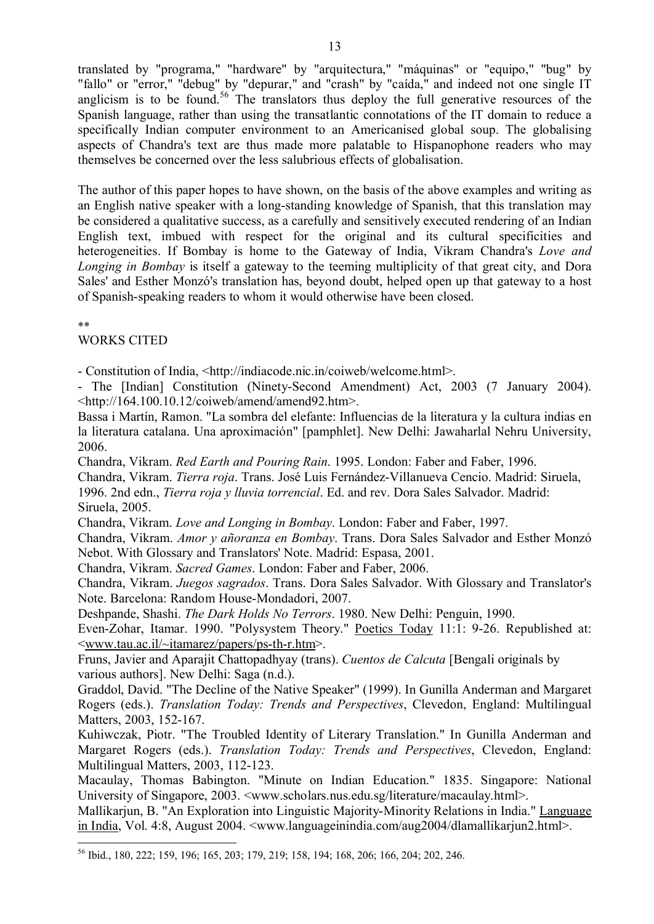translated by "programa," "hardware" by "arquitectura," "máquinas" or "equipo," "bug" by "fallo" or "error," "debug" by "depurar," and "crash" by "caída," and indeed not one single IT anglicism is to be found.<sup>56</sup> The translators thus deploy the full generative resources of the Spanish language, rather than using the transatlantic connotations of the IT domain to reduce a specifically Indian computer environment to an Americanised global soup. The globalising aspects of Chandra's text are thus made more palatable to Hispanophone readers who may themselves be concerned over the less salubrious effects of globalisation.

The author of this paper hopes to have shown, on the basis of the above examples and writing as an English native speaker with a long-standing knowledge of Spanish, that this translation may be considered a qualitative success, as a carefully and sensitively executed rendering of an Indian English text, imbued with respect for the original and its cultural specificities and heterogeneities. If Bombay is home to the Gateway of India, Vikram Chandra's *Love and Longing in Bombay* is itself a gateway to the teeming multiplicity of that great city, and Dora Sales' and Esther Monzó's translation has, beyond doubt, helped open up that gateway to a host of Spanish-speaking readers to whom it would otherwise have been closed.

\*\*

# WORKS CITED

- Constitution of India, <http://indiacode.nic.in/coiweb/welcome.html>.

- The [Indian] Constitution (Ninety-Second Amendment) Act, 2003 (7 January 2004).  $\langle \text{http://164.100.10.12/coiweb/amend/amend92.htm}$ .

Bassa i Martín, Ramon. "La sombra del elefante: Influencias de la literatura y la cultura indias en la literatura catalana. Una aproximación" [pamphlet]. New Delhi: Jawaharlal Nehru University, 2006.

Chandra, Vikram. *Red Earth and Pouring Rain*. 1995. London: Faber and Faber, 1996.

Chandra, Vikram. *Tierra roja*. Trans. José Luis Fernández-Villanueva Cencio. Madrid: Siruela,

1996. 2nd edn., *Tierra roja y lluvia torrencial*. Ed. and rev. Dora Sales Salvador. Madrid:

Siruela, 2005.

Chandra, Vikram. *Love and Longing in Bombay*. London: Faber and Faber, 1997.

Chandra, Vikram. *Amor y añoranza en Bombay*. Trans. Dora Sales Salvador and Esther Monzó Nebot. With Glossary and Translators' Note. Madrid: Espasa, 2001.

Chandra, Vikram. *Sacred Games*. London: Faber and Faber, 2006.

Chandra, Vikram. *Juegos sagrados*. Trans. Dora Sales Salvador. With Glossary and Translator's Note. Barcelona: Random House-Mondadori, 2007.

Deshpande, Shashi. *The Dark Holds No Terrors*. 1980. New Delhi: Penguin, 1990.

Even-Zohar, Itamar. 1990. "Polysystem Theory." Poetics Today 11:1: 9-26. Republished at: <www.tau.ac.il/~itamarez/papers/ps-th-r.htm>.

Fruns, Javier and Aparajit Chattopadhyay (trans). *Cuentos de Calcuta* [Bengali originals by various authors]. New Delhi: Saga (n.d.).

Graddol, David. "The Decline of the Native Speaker" (1999). In Gunilla Anderman and Margaret Rogers (eds.). *Translation Today: Trends and Perspectives*, Clevedon, England: Multilingual Matters, 2003, 152-167.

Kuhiwczak, Piotr. "The Troubled Identity of Literary Translation." In Gunilla Anderman and Margaret Rogers (eds.). *Translation Today: Trends and Perspectives*, Clevedon, England: Multilingual Matters, 2003, 112-123.

Macaulay, Thomas Babington. "Minute on Indian Education." 1835. Singapore: National University of Singapore, 2003. <www.scholars.nus.edu.sg/literature/macaulay.html>.

Mallikarjun, B. "An Exploration into Linguistic Majority-Minority Relations in India." Language in India, Vol. 4:8, August 2004. <www.languageinindia.com/aug2004/dlamallikarjun2.html>.

<sup>56</sup> Ibid., 180, 222; 159, 196; 165, 203; 179, 219; 158, 194; 168, 206; 166, 204; 202, 246.